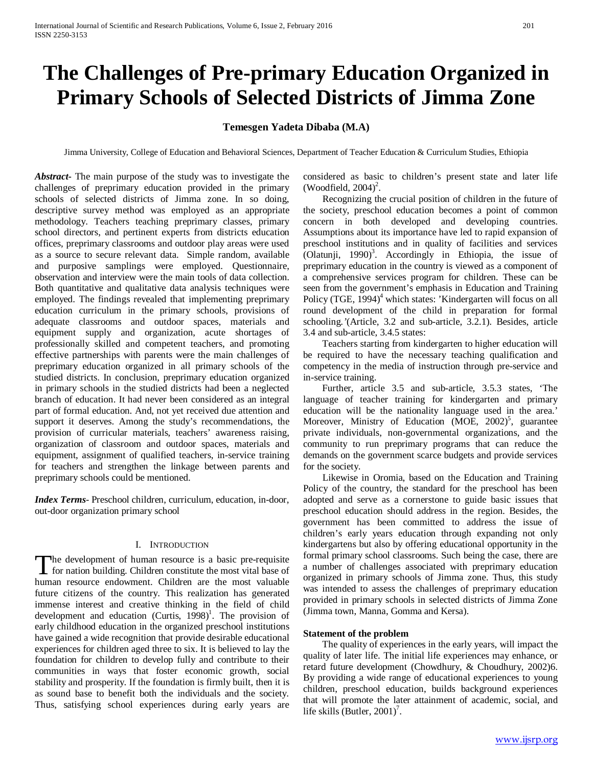# **The Challenges of Pre-primary Education Organized in Primary Schools of Selected Districts of Jimma Zone**

# **Temesgen Yadeta Dibaba (M.A)**

Jimma University, College of Education and Behavioral Sciences, Department of Teacher Education & Curriculum Studies, Ethiopia

*Abstract***-** The main purpose of the study was to investigate the challenges of preprimary education provided in the primary schools of selected districts of Jimma zone. In so doing, descriptive survey method was employed as an appropriate methodology. Teachers teaching preprimary classes, primary school directors, and pertinent experts from districts education offices, preprimary classrooms and outdoor play areas were used as a source to secure relevant data. Simple random, available and purposive samplings were employed. Questionnaire, observation and interview were the main tools of data collection. Both quantitative and qualitative data analysis techniques were employed. The findings revealed that implementing preprimary education curriculum in the primary schools, provisions of adequate classrooms and outdoor spaces, materials and equipment supply and organization, acute shortages of professionally skilled and competent teachers, and promoting effective partnerships with parents were the main challenges of preprimary education organized in all primary schools of the studied districts. In conclusion, preprimary education organized in primary schools in the studied districts had been a neglected branch of education. It had never been considered as an integral part of formal education. And, not yet received due attention and support it deserves. Among the study's recommendations, the provision of curricular materials, teachers' awareness raising, organization of classroom and outdoor spaces, materials and equipment, assignment of qualified teachers, in-service training for teachers and strengthen the linkage between parents and preprimary schools could be mentioned.

*Index Terms*- Preschool children, curriculum, education, in-door, out-door organization primary school

#### I. INTRODUCTION

The development of human resource is a basic pre-requisite The development of human resource is a basic pre-requisite<br>for nation building. Children constitute the most vital base of human resource endowment. Children are the most valuable future citizens of the country. This realization has generated immense interest and creative thinking in the field of child development and education  $(Curtis, 1998)^T$ . The provision of early childhood education in the organized preschool institutions have gained a wide recognition that provide desirable educational experiences for children aged three to six. It is believed to lay the foundation for children to develop fully and contribute to their communities in ways that foster economic growth, social stability and prosperity. If the foundation is firmly built, then it is as sound base to benefit both the individuals and the society. Thus, satisfying school experiences during early years are

considered as basic to children's present state and later life (Woodfield,  $2004$ )<sup>2</sup>.

 Recognizing the crucial position of children in the future of the society, preschool education becomes a point of common concern in both developed and developing countries. Assumptions about its importance have led to rapid expansion of preschool institutions and in quality of facilities and services  $(Olatunji, 1990)<sup>3</sup>$ . Accordingly in Ethiopia, the issue of preprimary education in the country is viewed as a component of a comprehensive services program for children. These can be seen from the government's emphasis in Education and Training Policy (TGE, 1994)<sup>4</sup> which states: 'Kindergarten will focus on all round development of the child in preparation for formal schooling*.'*(Article, 3.2 and sub-article, 3.2.1). Besides, article 3.4 and sub-article, 3.4.5 states:

 Teachers starting from kindergarten to higher education will be required to have the necessary teaching qualification and competency in the media of instruction through pre-service and in-service training.

 Further, article 3.5 and sub-article, 3.5.3 states, 'The language of teacher training for kindergarten and primary education will be the nationality language used in the area.' Moreover, Ministry of Education (MOE,  $2002)^5$ , guarantee private individuals, non-governmental organizations, and the community to run preprimary programs that can reduce the demands on the government scarce budgets and provide services for the society.

 Likewise in Oromia, based on the Education and Training Policy of the country, the standard for the preschool has been adopted and serve as a cornerstone to guide basic issues that preschool education should address in the region. Besides, the government has been committed to address the issue of children's early years education through expanding not only kindergartens but also by offering educational opportunity in the formal primary school classrooms. Such being the case, there are a number of challenges associated with preprimary education organized in primary schools of Jimma zone. Thus, this study was intended to assess the challenges of preprimary education provided in primary schools in selected districts of Jimma Zone (Jimma town, Manna, Gomma and Kersa).

## **Statement of the problem**

 The quality of experiences in the early years, will impact the quality of later life. The initial life experiences may enhance, or retard future development (Chowdhury, & Choudhury, 2002)6. By providing a wide range of educational experiences to young children, preschool education, builds background experiences that will promote the later attainment of academic, social, and life skills (Butler,  $2001$ )<sup>7</sup>.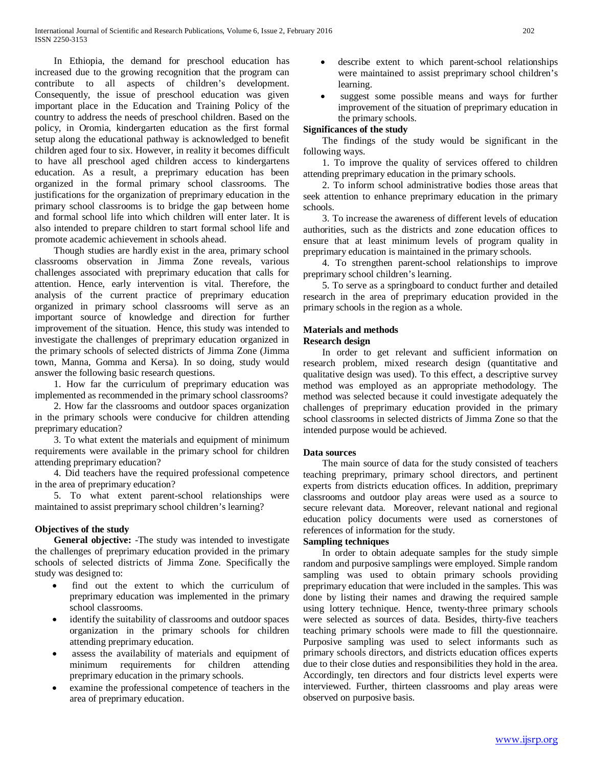In Ethiopia, the demand for preschool education has increased due to the growing recognition that the program can contribute to all aspects of children's development. Consequently, the issue of preschool education was given important place in the Education and Training Policy of the country to address the needs of preschool children. Based on the policy, in Oromia, kindergarten education as the first formal setup along the educational pathway is acknowledged to benefit children aged four to six. However, in reality it becomes difficult to have all preschool aged children access to kindergartens education. As a result, a preprimary education has been organized in the formal primary school classrooms. The justifications for the organization of preprimary education in the primary school classrooms is to bridge the gap between home and formal school life into which children will enter later. It is also intended to prepare children to start formal school life and promote academic achievement in schools ahead.

 Though studies are hardly exist in the area, primary school classrooms observation in Jimma Zone reveals, various challenges associated with preprimary education that calls for attention. Hence, early intervention is vital. Therefore, the analysis of the current practice of preprimary education organized in primary school classrooms will serve as an important source of knowledge and direction for further improvement of the situation. Hence, this study was intended to investigate the challenges of preprimary education organized in the primary schools of selected districts of Jimma Zone (Jimma town, Manna, Gomma and Kersa). In so doing, study would answer the following basic research questions.

 1. How far the curriculum of preprimary education was implemented as recommended in the primary school classrooms?

 2. How far the classrooms and outdoor spaces organization in the primary schools were conducive for children attending preprimary education?

 3. To what extent the materials and equipment of minimum requirements were available in the primary school for children attending preprimary education?

 4. Did teachers have the required professional competence in the area of preprimary education?

 5. To what extent parent-school relationships were maintained to assist preprimary school children's learning?

# **Objectives of the study**

 **General objective:** -The study was intended to investigate the challenges of preprimary education provided in the primary schools of selected districts of Jimma Zone. Specifically the study was designed to:

- find out the extent to which the curriculum of preprimary education was implemented in the primary school classrooms.
- identify the suitability of classrooms and outdoor spaces organization in the primary schools for children attending preprimary education.
- assess the availability of materials and equipment of minimum requirements for children attending preprimary education in the primary schools.
- examine the professional competence of teachers in the area of preprimary education.
- describe extent to which parent-school relationships were maintained to assist preprimary school children's learning.
- suggest some possible means and ways for further improvement of the situation of preprimary education in the primary schools.

# **Significances of the study**

 The findings of the study would be significant in the following ways.

 1. To improve the quality of services offered to children attending preprimary education in the primary schools.

 2. To inform school administrative bodies those areas that seek attention to enhance preprimary education in the primary schools.

 3. To increase the awareness of different levels of education authorities, such as the districts and zone education offices to ensure that at least minimum levels of program quality in preprimary education is maintained in the primary schools.

 4. To strengthen parent-school relationships to improve preprimary school children's learning.

 5. To serve as a springboard to conduct further and detailed research in the area of preprimary education provided in the primary schools in the region as a whole.

#### **Materials and methods Research design**

 In order to get relevant and sufficient information on research problem, mixed research design (quantitative and qualitative design was used). To this effect, a descriptive survey method was employed as an appropriate methodology. The method was selected because it could investigate adequately the challenges of preprimary education provided in the primary school classrooms in selected districts of Jimma Zone so that the intended purpose would be achieved.

# **Data sources**

 The main source of data for the study consisted of teachers teaching preprimary, primary school directors, and pertinent experts from districts education offices. In addition, preprimary classrooms and outdoor play areas were used as a source to secure relevant data. Moreover, relevant national and regional education policy documents were used as cornerstones of references of information for the study.

# **Sampling techniques**

 In order to obtain adequate samples for the study simple random and purposive samplings were employed. Simple random sampling was used to obtain primary schools providing preprimary education that were included in the samples. This was done by listing their names and drawing the required sample using lottery technique. Hence, twenty-three primary schools were selected as sources of data. Besides, thirty-five teachers teaching primary schools were made to fill the questionnaire. Purposive sampling was used to select informants such as primary schools directors, and districts education offices experts due to their close duties and responsibilities they hold in the area. Accordingly, ten directors and four districts level experts were interviewed. Further, thirteen classrooms and play areas were observed on purposive basis.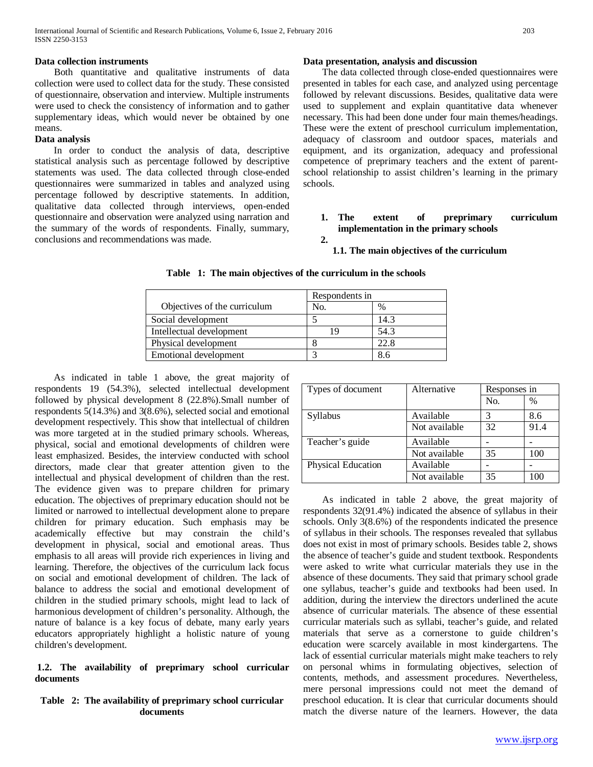#### **Data collection instruments**

 Both quantitative and qualitative instruments of data collection were used to collect data for the study. These consisted of questionnaire, observation and interview. Multiple instruments were used to check the consistency of information and to gather supplementary ideas, which would never be obtained by one means.

## **Data analysis**

 In order to conduct the analysis of data, descriptive statistical analysis such as percentage followed by descriptive statements was used. The data collected through close-ended questionnaires were summarized in tables and analyzed using percentage followed by descriptive statements. In addition, qualitative data collected through interviews, open-ended questionnaire and observation were analyzed using narration and the summary of the words of respondents. Finally, summary, conclusions and recommendations was made.

## **Data presentation, analysis and discussion**

 The data collected through close-ended questionnaires were presented in tables for each case, and analyzed using percentage followed by relevant discussions. Besides, qualitative data were used to supplement and explain quantitative data whenever necessary. This had been done under four main themes/headings. These were the extent of preschool curriculum implementation, adequacy of classroom and outdoor spaces, materials and equipment, and its organization, adequacy and professional competence of preprimary teachers and the extent of parentschool relationship to assist children's learning in the primary schools.

#### **1. The extent of preprimary curriculum implementation in the primary schools 2.**

 **1.1. The main objectives of the curriculum** 

**Table 1: The main objectives of the curriculum in the schools**

|                              | Respondents in |      |  |
|------------------------------|----------------|------|--|
| Objectives of the curriculum | No.            | $\%$ |  |
| Social development           |                | 14.3 |  |
| Intellectual development     |                | 54.3 |  |
| Physical development         |                | 22.8 |  |
| Emotional development        |                | 8.6  |  |

 As indicated in table 1 above, the great majority of respondents 19 (54.3%), selected intellectual development followed by physical development 8 (22.8%).Small number of respondents 5(14.3%) and 3(8.6%), selected social and emotional development respectively. This show that intellectual of children was more targeted at in the studied primary schools. Whereas, physical, social and emotional developments of children were least emphasized. Besides, the interview conducted with school directors, made clear that greater attention given to the intellectual and physical development of children than the rest. The evidence given was to prepare children for primary education. The objectives of preprimary education should not be limited or narrowed to intellectual development alone to prepare children for primary education. Such emphasis may be academically effective but may constrain the child's development in physical, social and emotional areas. Thus emphasis to all areas will provide rich experiences in living and learning. Therefore, the objectives of the curriculum lack focus on social and emotional development of children. The lack of balance to address the social and emotional development of children in the studied primary schools, might lead to lack of harmonious development of children's personality. Although, the nature of balance is a key focus of debate, many early years educators appropriately highlight a holistic nature of young children's development.

## **1.2. The availability of preprimary school curricular documents**

# **Table 2: The availability of preprimary school curricular documents**

| Types of document  | Alternative   | Responses in |      |
|--------------------|---------------|--------------|------|
|                    |               | No.          | $\%$ |
| Syllabus           | Available     | 3            | 8.6  |
|                    | Not available | 32           | 91.4 |
| Teacher's guide    | Available     |              |      |
|                    | Not available | 35           | 100  |
| Physical Education | Available     |              |      |
|                    | Not available | 35           | 100  |

 As indicated in table 2 above, the great majority of respondents 32(91.4%) indicated the absence of syllabus in their schools. Only 3(8.6%) of the respondents indicated the presence of syllabus in their schools. The responses revealed that syllabus does not exist in most of primary schools. Besides table 2, shows the absence of teacher's guide and student textbook. Respondents were asked to write what curricular materials they use in the absence of these documents. They said that primary school grade one syllabus, teacher's guide and textbooks had been used. In addition, during the interview the directors underlined the acute absence of curricular materials. The absence of these essential curricular materials such as syllabi, teacher's guide, and related materials that serve as a cornerstone to guide children's education were scarcely available in most kindergartens. The lack of essential curricular materials might make teachers to rely on personal whims in formulating objectives, selection of contents, methods, and assessment procedures. Nevertheless, mere personal impressions could not meet the demand of preschool education. It is clear that curricular documents should match the diverse nature of the learners. However, the data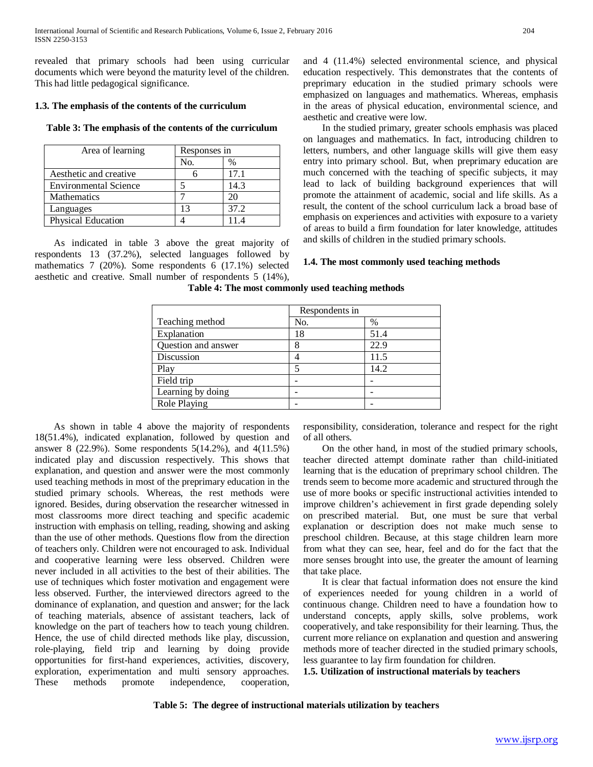revealed that primary schools had been using curricular documents which were beyond the maturity level of the children. This had little pedagogical significance.

## **1.3. The emphasis of the contents of the curriculum**

## **Table 3: The emphasis of the contents of the curriculum**

| Area of learning             | Responses in |      |
|------------------------------|--------------|------|
|                              | No.          | $\%$ |
| Aesthetic and creative       |              | 17.1 |
| <b>Environmental Science</b> |              | 14.3 |
| <b>Mathematics</b>           |              |      |
| Languages                    | 13           | 37.2 |
| <b>Physical Education</b>    |              |      |

 As indicated in table 3 above the great majority of respondents 13 (37.2%), selected languages followed by mathematics 7 (20%). Some respondents 6 (17.1%) selected aesthetic and creative. Small number of respondents 5 (14%), and 4 (11.4%) selected environmental science, and physical education respectively. This demonstrates that the contents of preprimary education in the studied primary schools were emphasized on languages and mathematics. Whereas, emphasis in the areas of physical education, environmental science, and aesthetic and creative were low.

 In the studied primary, greater schools emphasis was placed on languages and mathematics. In fact, introducing children to letters, numbers, and other language skills will give them easy entry into primary school. But, when preprimary education are much concerned with the teaching of specific subjects, it may lead to lack of building background experiences that will promote the attainment of academic, social and life skills. As a result, the content of the school curriculum lack a broad base of emphasis on experiences and activities with exposure to a variety of areas to build a firm foundation for later knowledge, attitudes and skills of children in the studied primary schools.

## **1.4. The most commonly used teaching methods**

|                     | Respondents in |      |  |
|---------------------|----------------|------|--|
| Teaching method     | No.            | $\%$ |  |
| Explanation         | 18             | 51.4 |  |
| Question and answer | 8              | 22.9 |  |
| Discussion          |                | 11.5 |  |
| Play                |                | 14.2 |  |
| Field trip          |                |      |  |
| Learning by doing   |                |      |  |
| Role Playing        |                |      |  |

**Table 4: The most commonly used teaching methods**

 As shown in table 4 above the majority of respondents 18(51.4%), indicated explanation, followed by question and answer 8 (22.9%). Some respondents 5(14.2%), and 4(11.5%) indicated play and discussion respectively. This shows that explanation, and question and answer were the most commonly used teaching methods in most of the preprimary education in the studied primary schools. Whereas, the rest methods were ignored. Besides, during observation the researcher witnessed in most classrooms more direct teaching and specific academic instruction with emphasis on telling, reading, showing and asking than the use of other methods. Questions flow from the direction of teachers only. Children were not encouraged to ask. Individual and cooperative learning were less observed. Children were never included in all activities to the best of their abilities. The use of techniques which foster motivation and engagement were less observed. Further, the interviewed directors agreed to the dominance of explanation, and question and answer; for the lack of teaching materials, absence of assistant teachers, lack of knowledge on the part of teachers how to teach young children. Hence, the use of child directed methods like play, discussion, role-playing, field trip and learning by doing provide opportunities for first-hand experiences, activities, discovery, exploration, experimentation and multi sensory approaches. These methods promote independence, cooperation, responsibility, consideration, tolerance and respect for the right of all others.

 On the other hand, in most of the studied primary schools, teacher directed attempt dominate rather than child-initiated learning that is the education of preprimary school children. The trends seem to become more academic and structured through the use of more books or specific instructional activities intended to improve children's achievement in first grade depending solely on prescribed material. But, one must be sure that verbal explanation or description does not make much sense to preschool children. Because, at this stage children learn more from what they can see, hear, feel and do for the fact that the more senses brought into use, the greater the amount of learning that take place.

 It is clear that factual information does not ensure the kind of experiences needed for young children in a world of continuous change. Children need to have a foundation how to understand concepts, apply skills, solve problems, work cooperatively, and take responsibility for their learning. Thus, the current more reliance on explanation and question and answering methods more of teacher directed in the studied primary schools, less guarantee to lay firm foundation for children.

**1.5. Utilization of instructional materials by teachers**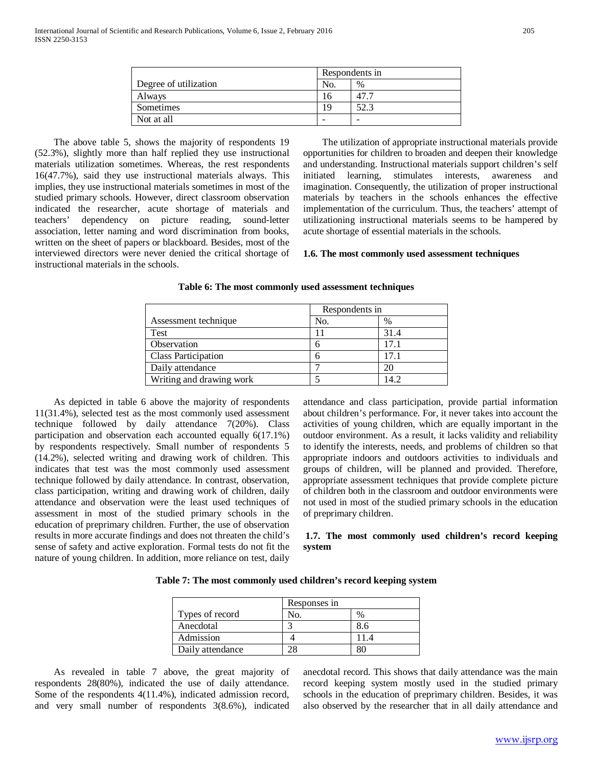|                       | Respondents in |      |
|-----------------------|----------------|------|
| Degree of utilization | No.            | $\%$ |
| Always                | 16             | 47.  |
| Sometimes             | 19             | 52.3 |
| Not at all            | -              | -    |

 The above table 5, shows the majority of respondents 19 (52.3%), slightly more than half replied they use instructional materials utilization sometimes. Whereas, the rest respondents 16(47.7%), said they use instructional materials always. This implies, they use instructional materials sometimes in most of the studied primary schools. However, direct classroom observation indicated the researcher, acute shortage of materials and teachers' dependency on picture reading, sound-letter association, letter naming and word discrimination from books, written on the sheet of papers or blackboard. Besides, most of the interviewed directors were never denied the critical shortage of instructional materials in the schools.

 The utilization of appropriate instructional materials provide opportunities for children to broaden and deepen their knowledge and understanding. Instructional materials support children's self initiated learning, stimulates interests, awareness and imagination. Consequently, the utilization of proper instructional materials by teachers in the schools enhances the effective implementation of the curriculum. Thus, the teachers' attempt of utilizationing instructional materials seems to be hampered by acute shortage of essential materials in the schools.

#### **1.6. The most commonly used assessment techniques**

|                            | Respondents in |      |  |
|----------------------------|----------------|------|--|
| Assessment technique       | No.            | %    |  |
| Test                       |                | 31.4 |  |
| Observation                | 6              | 17.1 |  |
| <b>Class Participation</b> | h              | 17.1 |  |
| Daily attendance           | −              | 20   |  |
| Writing and drawing work   |                | 14.2 |  |

**Table 6: The most commonly used assessment techniques**

 As depicted in table 6 above the majority of respondents 11(31.4%), selected test as the most commonly used assessment technique followed by daily attendance 7(20%). Class participation and observation each accounted equally 6(17.1%) by respondents respectively. Small number of respondents 5 (14.2%), selected writing and drawing work of children. This indicates that test was the most commonly used assessment technique followed by daily attendance. In contrast, observation, class participation, writing and drawing work of children, daily attendance and observation were the least used techniques of assessment in most of the studied primary schools in the education of preprimary children. Further, the use of observation results in more accurate findings and does not threaten the child's sense of safety and active exploration. Formal tests do not fit the nature of young children. In addition, more reliance on test, daily attendance and class participation, provide partial information about children's performance. For, it never takes into account the activities of young children, which are equally important in the outdoor environment. As a result, it lacks validity and reliability to identify the interests, needs, and problems of children so that appropriate indoors and outdoors activities to individuals and groups of children, will be planned and provided. Therefore, appropriate assessment techniques that provide complete picture of children both in the classroom and outdoor environments were not used in most of the studied primary schools in the education of preprimary children.

## **1.7. The most commonly used children's record keeping system**

|  |  | Table 7: The most commonly used children's record keeping system |  |  |  |
|--|--|------------------------------------------------------------------|--|--|--|
|  |  |                                                                  |  |  |  |

|                  | Responses in |      |  |
|------------------|--------------|------|--|
| Types of record  | No.          | $\%$ |  |
| Anecdotal        |              | 8.6  |  |
| Admission        |              |      |  |
| Daily attendance |              |      |  |

 As revealed in table 7 above, the great majority of respondents 28(80%), indicated the use of daily attendance. Some of the respondents 4(11.4%), indicated admission record, and very small number of respondents 3(8.6%), indicated

anecdotal record. This shows that daily attendance was the main record keeping system mostly used in the studied primary schools in the education of preprimary children. Besides, it was also observed by the researcher that in all daily attendance and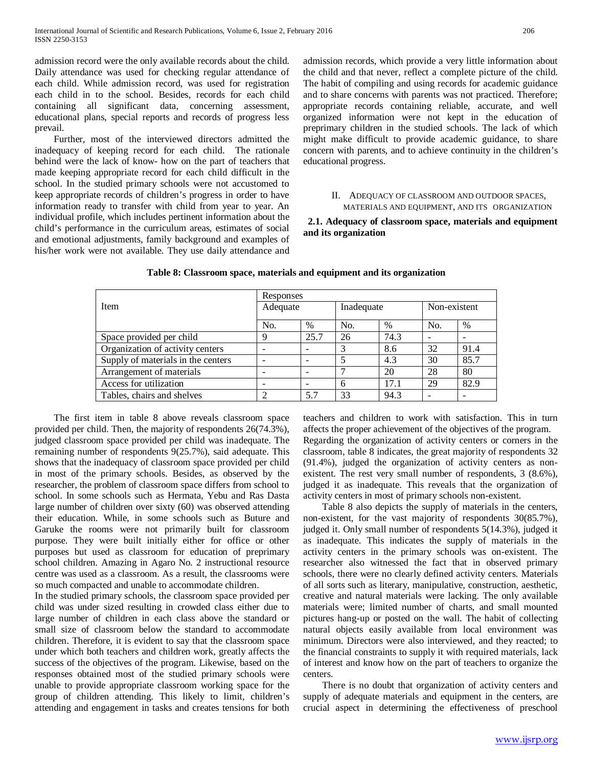admission record were the only available records about the child. Daily attendance was used for checking regular attendance of each child. While admission record, was used for registration each child in to the school. Besides, records for each child containing all significant data, concerning assessment, educational plans, special reports and records of progress less prevail.

 Further, most of the interviewed directors admitted the inadequacy of keeping record for each child. The rationale behind were the lack of know- how on the part of teachers that made keeping appropriate record for each child difficult in the school. In the studied primary schools were not accustomed to keep appropriate records of children's progress in order to have information ready to transfer with child from year to year. An individual profile, which includes pertinent information about the child's performance in the curriculum areas, estimates of social and emotional adjustments, family background and examples of his/her work were not available. They use daily attendance and admission records, which provide a very little information about the child and that never, reflect a complete picture of the child. The habit of compiling and using records for academic guidance and to share concerns with parents was not practiced. Therefore; appropriate records containing reliable, accurate, and well organized information were not kept in the education of preprimary children in the studied schools. The lack of which might make difficult to provide academic guidance, to share concern with parents, and to achieve continuity in the children's educational progress.

#### II. ADEQUACY OF CLASSROOM AND OUTDOOR SPACES, MATERIALS AND EQUIPMENT, AND ITS ORGANIZATION

## **2.1. Adequacy of classroom space, materials and equipment and its organization**

|                                    | Responses |      |            |      |              |               |  |
|------------------------------------|-----------|------|------------|------|--------------|---------------|--|
| Item                               | Adequate  |      | Inadequate |      | Non-existent |               |  |
|                                    | No.       | $\%$ | No.        | $\%$ | No.          | $\frac{0}{0}$ |  |
| Space provided per child           |           | 25.7 | 26         | 74.3 |              |               |  |
| Organization of activity centers   |           |      | 3          | 8.6  | 32           | 91.4          |  |
| Supply of materials in the centers |           |      |            | 4.3  | 30           | 85.7          |  |
| Arrangement of materials           |           |      |            | 20   | 28           | 80            |  |
| Access for utilization             |           |      | 6          | 17.1 | 29           | 82.9          |  |
| Tables, chairs and shelves         |           | 5.7  | 33         | 94.3 |              |               |  |

## **Table 8: Classroom space, materials and equipment and its organization**

 The first item in table 8 above reveals classroom space provided per child. Then, the majority of respondents 26(74.3%), judged classroom space provided per child was inadequate. The remaining number of respondents 9(25.7%), said adequate. This shows that the inadequacy of classroom space provided per child in most of the primary schools. Besides, as observed by the researcher, the problem of classroom space differs from school to school. In some schools such as Hermata, Yebu and Ras Dasta large number of children over sixty (60) was observed attending their education. While, in some schools such as Buture and Garuke the rooms were not primarily built for classroom purpose. They were built initially either for office or other purposes but used as classroom for education of preprimary school children. Amazing in Agaro No. 2 instructional resource centre was used as a classroom. As a result, the classrooms were so much compacted and unable to accommodate children.

In the studied primary schools, the classroom space provided per child was under sized resulting in crowded class either due to large number of children in each class above the standard or small size of classroom below the standard to accommodate children. Therefore, it is evident to say that the classroom space under which both teachers and children work, greatly affects the success of the objectives of the program. Likewise, based on the responses obtained most of the studied primary schools were unable to provide appropriate classroom working space for the group of children attending. This likely to limit, children's attending and engagement in tasks and creates tensions for both teachers and children to work with satisfaction. This in turn affects the proper achievement of the objectives of the program. Regarding the organization of activity centers or corners in the classroom, table 8 indicates, the great majority of respondents 32 (91.4%), judged the organization of activity centers as nonexistent. The rest very small number of respondents, 3 (8.6%), judged it as inadequate. This reveals that the organization of activity centers in most of primary schools non-existent.

 Table 8 also depicts the supply of materials in the centers, non-existent, for the vast majority of respondents 30(85.7%), judged it. Only small number of respondents 5(14.3%), judged it as inadequate. This indicates the supply of materials in the activity centers in the primary schools was on-existent. The researcher also witnessed the fact that in observed primary schools, there were no clearly defined activity centers. Materials of all sorts such as literary, manipulative, construction, aesthetic, creative and natural materials were lacking. The only available materials were; limited number of charts, and small mounted pictures hang-up or posted on the wall. The habit of collecting natural objects easily available from local environment was minimum. Directors were also interviewed, and they reacted; to the financial constraints to supply it with required materials, lack of interest and know how on the part of teachers to organize the centers.

 There is no doubt that organization of activity centers and supply of adequate materials and equipment in the centers, are crucial aspect in determining the effectiveness of preschool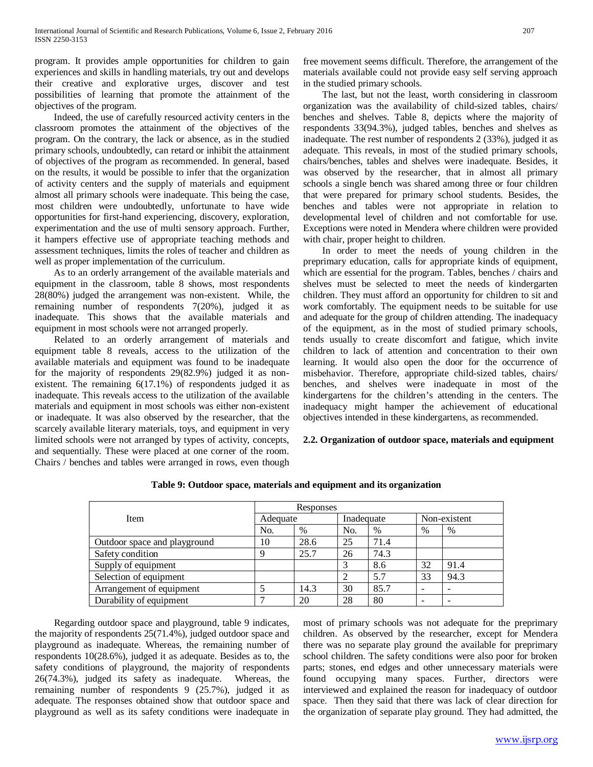program. It provides ample opportunities for children to gain experiences and skills in handling materials, try out and develops their creative and explorative urges, discover and test possibilities of learning that promote the attainment of the objectives of the program.

 Indeed, the use of carefully resourced activity centers in the classroom promotes the attainment of the objectives of the program. On the contrary, the lack or absence, as in the studied primary schools, undoubtedly, can retard or inhibit the attainment of objectives of the program as recommended. In general, based on the results, it would be possible to infer that the organization of activity centers and the supply of materials and equipment almost all primary schools were inadequate. This being the case, most children were undoubtedly, unfortunate to have wide opportunities for first-hand experiencing, discovery, exploration, experimentation and the use of multi sensory approach. Further, it hampers effective use of appropriate teaching methods and assessment techniques, limits the roles of teacher and children as well as proper implementation of the curriculum.

 As to an orderly arrangement of the available materials and equipment in the classroom, table 8 shows, most respondents 28(80%) judged the arrangement was non-existent. While, the remaining number of respondents 7(20%), judged it as inadequate. This shows that the available materials and equipment in most schools were not arranged properly.

 Related to an orderly arrangement of materials and equipment table 8 reveals, access to the utilization of the available materials and equipment was found to be inadequate for the majority of respondents 29(82.9%) judged it as nonexistent. The remaining 6(17.1%) of respondents judged it as inadequate. This reveals access to the utilization of the available materials and equipment in most schools was either non-existent or inadequate. It was also observed by the researcher, that the scarcely available literary materials, toys, and equipment in very limited schools were not arranged by types of activity, concepts, and sequentially. These were placed at one corner of the room. Chairs / benches and tables were arranged in rows, even though free movement seems difficult. Therefore, the arrangement of the materials available could not provide easy self serving approach in the studied primary schools.

 The last, but not the least, worth considering in classroom organization was the availability of child-sized tables, chairs/ benches and shelves. Table 8, depicts where the majority of respondents 33(94.3%), judged tables, benches and shelves as inadequate. The rest number of respondents 2 (33%), judged it as adequate. This reveals, in most of the studied primary schools, chairs/benches, tables and shelves were inadequate. Besides, it was observed by the researcher, that in almost all primary schools a single bench was shared among three or four children that were prepared for primary school students. Besides, the benches and tables were not appropriate in relation to developmental level of children and not comfortable for use. Exceptions were noted in Mendera where children were provided with chair, proper height to children.

 In order to meet the needs of young children in the preprimary education, calls for appropriate kinds of equipment, which are essential for the program. Tables, benches / chairs and shelves must be selected to meet the needs of kindergarten children. They must afford an opportunity for children to sit and work comfortably. The equipment needs to be suitable for use and adequate for the group of children attending. The inadequacy of the equipment, as in the most of studied primary schools, tends usually to create discomfort and fatigue, which invite children to lack of attention and concentration to their own learning. It would also open the door for the occurrence of misbehavior. Therefore, appropriate child-sized tables, chairs/ benches, and shelves were inadequate in most of the kindergartens for the children's attending in the centers. The inadequacy might hamper the achievement of educational objectives intended in these kindergartens, as recommended.

# **2.2. Organization of outdoor space, materials and equipment**

|                              | Responses |      |            |      |              |      |
|------------------------------|-----------|------|------------|------|--------------|------|
| Item                         | Adequate  |      | Inadequate |      | Non-existent |      |
|                              | No.       | $\%$ | No.        | $\%$ | $\%$         | $\%$ |
| Outdoor space and playground | 10        | 28.6 | 25         | 71.4 |              |      |
| Safety condition             |           | 25.7 | 26         | 74.3 |              |      |
| Supply of equipment          |           |      |            | 8.6  | 32           | 91.4 |
| Selection of equipment       |           |      |            | 5.7  | 33           | 94.3 |
| Arrangement of equipment     |           | 14.3 | 30         | 85.7 |              |      |
| Durability of equipment      |           | 20   | 28         | 80   |              |      |

**Table 9: Outdoor space, materials and equipment and its organization**

 Regarding outdoor space and playground, table 9 indicates, the majority of respondents 25(71.4%), judged outdoor space and playground as inadequate. Whereas, the remaining number of respondents 10(28.6%), judged it as adequate. Besides as to, the safety conditions of playground, the majority of respondents 26(74.3%), judged its safety as inadequate. Whereas, the remaining number of respondents 9 (25.7%), judged it as adequate. The responses obtained show that outdoor space and playground as well as its safety conditions were inadequate in

most of primary schools was not adequate for the preprimary children. As observed by the researcher, except for Mendera there was no separate play ground the available for preprimary school children. The safety conditions were also poor for broken parts; stones, end edges and other unnecessary materials were found occupying many spaces. Further, directors were interviewed and explained the reason for inadequacy of outdoor space. Then they said that there was lack of clear direction for the organization of separate play ground. They had admitted, the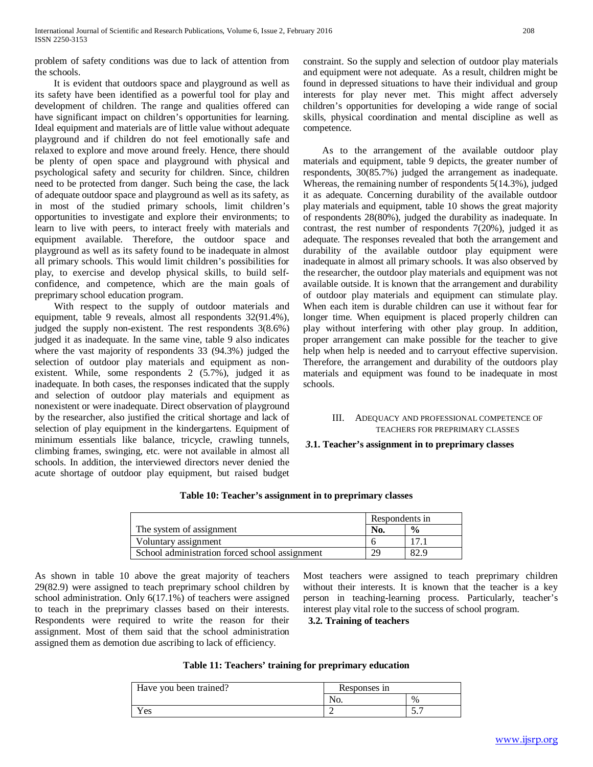problem of safety conditions was due to lack of attention from the schools.

 It is evident that outdoors space and playground as well as its safety have been identified as a powerful tool for play and development of children. The range and qualities offered can have significant impact on children's opportunities for learning. Ideal equipment and materials are of little value without adequate playground and if children do not feel emotionally safe and relaxed to explore and move around freely. Hence, there should be plenty of open space and playground with physical and psychological safety and security for children. Since, children need to be protected from danger. Such being the case, the lack of adequate outdoor space and playground as well as its safety, as in most of the studied primary schools, limit children's opportunities to investigate and explore their environments; to learn to live with peers, to interact freely with materials and equipment available. Therefore, the outdoor space and playground as well as its safety found to be inadequate in almost all primary schools. This would limit children's possibilities for play, to exercise and develop physical skills, to build selfconfidence, and competence, which are the main goals of preprimary school education program.

 With respect to the supply of outdoor materials and equipment, table 9 reveals, almost all respondents 32(91.4%), judged the supply non-existent. The rest respondents 3(8.6%) judged it as inadequate. In the same vine, table 9 also indicates where the vast majority of respondents 33 (94.3%) judged the selection of outdoor play materials and equipment as nonexistent. While, some respondents 2 (5.7%), judged it as inadequate. In both cases, the responses indicated that the supply and selection of outdoor play materials and equipment as nonexistent or were inadequate. Direct observation of playground by the researcher, also justified the critical shortage and lack of selection of play equipment in the kindergartens. Equipment of minimum essentials like balance, tricycle, crawling tunnels, climbing frames, swinging, etc. were not available in almost all schools. In addition, the interviewed directors never denied the acute shortage of outdoor play equipment, but raised budget constraint. So the supply and selection of outdoor play materials and equipment were not adequate. As a result, children might be found in depressed situations to have their individual and group interests for play never met. This might affect adversely children's opportunities for developing a wide range of social skills, physical coordination and mental discipline as well as competence.

 As to the arrangement of the available outdoor play materials and equipment, table 9 depicts, the greater number of respondents, 30(85.7%) judged the arrangement as inadequate. Whereas, the remaining number of respondents 5(14.3%), judged it as adequate. Concerning durability of the available outdoor play materials and equipment, table 10 shows the great majority of respondents 28(80%), judged the durability as inadequate. In contrast, the rest number of respondents 7(20%), judged it as adequate. The responses revealed that both the arrangement and durability of the available outdoor play equipment were inadequate in almost all primary schools. It was also observed by the researcher, the outdoor play materials and equipment was not available outside. It is known that the arrangement and durability of outdoor play materials and equipment can stimulate play. When each item is durable children can use it without fear for longer time. When equipment is placed properly children can play without interfering with other play group. In addition, proper arrangement can make possible for the teacher to give help when help is needed and to carryout effective supervision. Therefore, the arrangement and durability of the outdoors play materials and equipment was found to be inadequate in most schools.

## III. ADEQUACY AND PROFESSIONAL COMPETENCE OF TEACHERS FOR PREPRIMARY CLASSES

## *3***.1. Teacher's assignment in to preprimary classes**

|                                                | Respondents in |               |
|------------------------------------------------|----------------|---------------|
| The system of assignment                       | No.            | $\frac{0}{0}$ |
| Voluntary assignment                           |                |               |
| School administration forced school assignment | 29             | 82.9          |

**Table 10: Teacher's assignment in to preprimary classes**

As shown in table 10 above the great majority of teachers 29(82.9) were assigned to teach preprimary school children by school administration. Only 6(17.1%) of teachers were assigned to teach in the preprimary classes based on their interests. Respondents were required to write the reason for their assignment. Most of them said that the school administration assigned them as demotion due ascribing to lack of efficiency.

Most teachers were assigned to teach preprimary children without their interests. It is known that the teacher is a key person in teaching-learning process. Particularly, teacher's interest play vital role to the success of school program.

 **3.2. Training of teachers** 

# **Table 11: Teachers' training for preprimary education**

| Have you been trained? | Responses in |                       |
|------------------------|--------------|-----------------------|
|                        |              | $\%$                  |
| 'es                    |              | $\overline{ }$<br>، ب |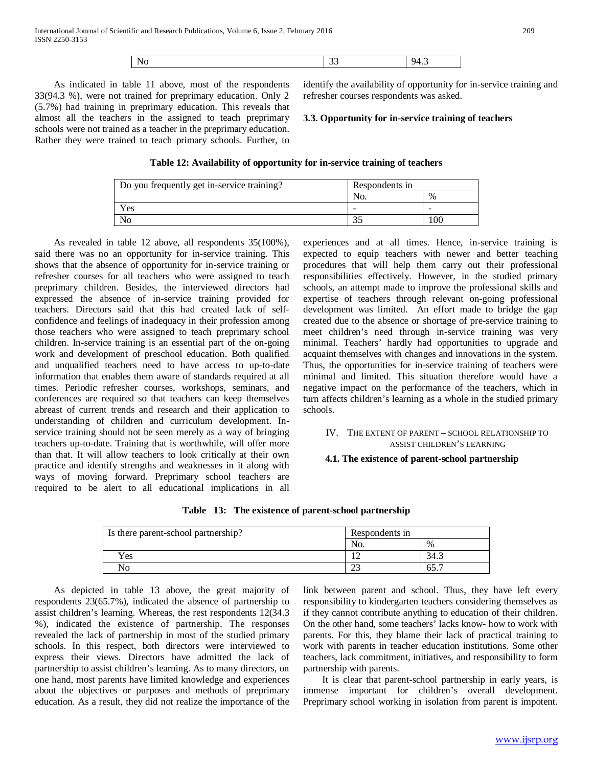|--|

 As indicated in table 11 above, most of the respondents 33(94.3 %), were not trained for preprimary education. Only 2 (5.7%) had training in preprimary education. This reveals that almost all the teachers in the assigned to teach preprimary schools were not trained as a teacher in the preprimary education. Rather they were trained to teach primary schools. Further, to identify the availability of opportunity for in-service training and refresher courses respondents was asked.

#### **3.3. Opportunity for in-service training of teachers**

#### **Table 12: Availability of opportunity for in-service training of teachers**

| Do you frequently get in-service training? | Respondents in |               |
|--------------------------------------------|----------------|---------------|
|                                            | NO.            | $\frac{0}{0}$ |
| Y es                                       | -              | -             |
| No                                         |                | .00           |

 As revealed in table 12 above, all respondents 35(100%), said there was no an opportunity for in-service training. This shows that the absence of opportunity for in-service training or refresher courses for all teachers who were assigned to teach preprimary children. Besides, the interviewed directors had expressed the absence of in-service training provided for teachers. Directors said that this had created lack of selfconfidence and feelings of inadequacy in their profession among those teachers who were assigned to teach preprimary school children. In-service training is an essential part of the on-going work and development of preschool education. Both qualified and unqualified teachers need to have access to up-to-date information that enables them aware of standards required at all times. Periodic refresher courses, workshops, seminars, and conferences are required so that teachers can keep themselves abreast of current trends and research and their application to understanding of children and curriculum development. Inservice training should not be seen merely as a way of bringing teachers up-to-date. Training that is worthwhile, will offer more than that. It will allow teachers to look critically at their own practice and identify strengths and weaknesses in it along with ways of moving forward. Preprimary school teachers are required to be alert to all educational implications in all experiences and at all times. Hence, in-service training is expected to equip teachers with newer and better teaching procedures that will help them carry out their professional responsibilities effectively. However, in the studied primary schools, an attempt made to improve the professional skills and expertise of teachers through relevant on-going professional development was limited. An effort made to bridge the gap created due to the absence or shortage of pre-service training to meet children's need through in-service training was very minimal. Teachers' hardly had opportunities to upgrade and acquaint themselves with changes and innovations in the system. Thus, the opportunities for in-service training of teachers were minimal and limited. This situation therefore would have a negative impact on the performance of the teachers, which in turn affects children's learning as a whole in the studied primary schools.

## IV. THE EXTENT OF PARENT – SCHOOL RELATIONSHIP TO ASSIST CHILDREN'S LEARNING

## **4.1. The existence of parent-school partnership**

## **Table 13: The existence of parent-school partnership**

| Is there parent-school partnership? | Respondents in |               |
|-------------------------------------|----------------|---------------|
|                                     | NO.            | $\frac{0}{0}$ |
| Yes                                 |                | 34.3          |
| No                                  | $\sim$         |               |

 As depicted in table 13 above, the great majority of respondents 23(65.7%), indicated the absence of partnership to assist children's learning. Whereas, the rest respondents 12(34.3 %), indicated the existence of partnership. The responses revealed the lack of partnership in most of the studied primary schools. In this respect, both directors were interviewed to express their views. Directors have admitted the lack of partnership to assist children's learning. As to many directors, on one hand, most parents have limited knowledge and experiences about the objectives or purposes and methods of preprimary education. As a result, they did not realize the importance of the link between parent and school. Thus, they have left every responsibility to kindergarten teachers considering themselves as if they cannot contribute anything to education of their children. On the other hand, some teachers' lacks know- how to work with parents. For this, they blame their lack of practical training to work with parents in teacher education institutions. Some other teachers, lack commitment, initiatives, and responsibility to form partnership with parents.

 It is clear that parent-school partnership in early years, is immense important for children's overall development. Preprimary school working in isolation from parent is impotent.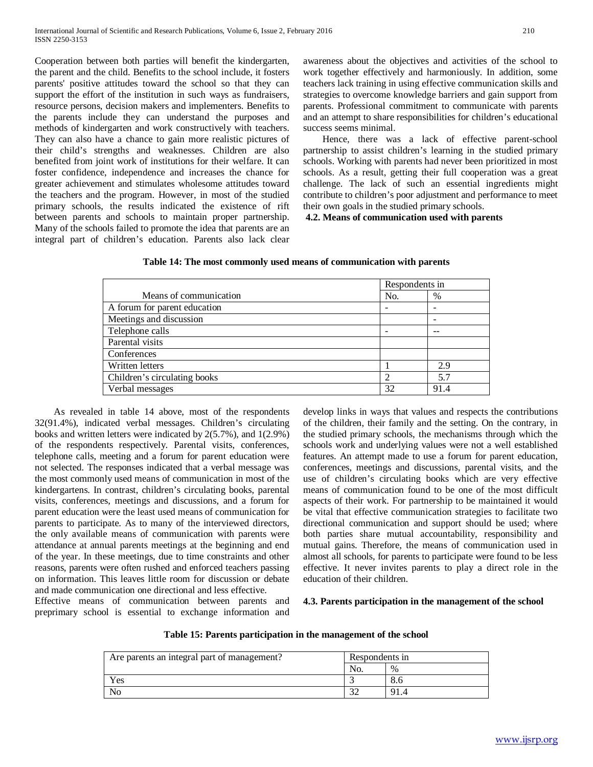Cooperation between both parties will benefit the kindergarten, the parent and the child. Benefits to the school include, it fosters parents' positive attitudes toward the school so that they can support the effort of the institution in such ways as fundraisers, resource persons, decision makers and implementers. Benefits to the parents include they can understand the purposes and methods of kindergarten and work constructively with teachers. They can also have a chance to gain more realistic pictures of their child's strengths and weaknesses. Children are also benefited from joint work of institutions for their welfare. It can foster confidence, independence and increases the chance for greater achievement and stimulates wholesome attitudes toward the teachers and the program. However, in most of the studied primary schools, the results indicated the existence of rift between parents and schools to maintain proper partnership. Many of the schools failed to promote the idea that parents are an integral part of children's education. Parents also lack clear awareness about the objectives and activities of the school to work together effectively and harmoniously. In addition, some teachers lack training in using effective communication skills and strategies to overcome knowledge barriers and gain support from parents. Professional commitment to communicate with parents and an attempt to share responsibilities for children's educational success seems minimal.

 Hence, there was a lack of effective parent-school partnership to assist children's learning in the studied primary schools. Working with parents had never been prioritized in most schools. As a result, getting their full cooperation was a great challenge. The lack of such an essential ingredients might contribute to children's poor adjustment and performance to meet their own goals in the studied primary schools.

**4.2. Means of communication used with parents** 

|  | Table 14: The most commonly used means of communication with parents |  |
|--|----------------------------------------------------------------------|--|
|--|----------------------------------------------------------------------|--|

|                              | Respondents in |      |
|------------------------------|----------------|------|
| Means of communication       | N <sub>o</sub> | $\%$ |
| A forum for parent education |                |      |
| Meetings and discussion      |                |      |
| Telephone calls              |                |      |
| Parental visits              |                |      |
| Conferences                  |                |      |
| Written letters              |                | 2.9  |
| Children's circulating books |                | 5.7  |
| Verbal messages              | 32             | 914  |

 As revealed in table 14 above, most of the respondents 32(91.4%), indicated verbal messages. Children's circulating books and written letters were indicated by 2(5.7%), and 1(2.9%) of the respondents respectively. Parental visits, conferences, telephone calls, meeting and a forum for parent education were not selected. The responses indicated that a verbal message was the most commonly used means of communication in most of the kindergartens. In contrast, children's circulating books, parental visits, conferences, meetings and discussions, and a forum for parent education were the least used means of communication for parents to participate. As to many of the interviewed directors, the only available means of communication with parents were attendance at annual parents meetings at the beginning and end of the year. In these meetings, due to time constraints and other reasons, parents were often rushed and enforced teachers passing on information. This leaves little room for discussion or debate and made communication one directional and less effective.

Effective means of communication between parents and preprimary school is essential to exchange information and develop links in ways that values and respects the contributions of the children, their family and the setting. On the contrary, in the studied primary schools, the mechanisms through which the schools work and underlying values were not a well established features. An attempt made to use a forum for parent education, conferences, meetings and discussions, parental visits, and the use of children's circulating books which are very effective means of communication found to be one of the most difficult aspects of their work. For partnership to be maintained it would be vital that effective communication strategies to facilitate two directional communication and support should be used; where both parties share mutual accountability, responsibility and mutual gains. Therefore, the means of communication used in almost all schools, for parents to participate were found to be less effective. It never invites parents to play a direct role in the education of their children.

#### **4.3. Parents participation in the management of the school**

#### **Table 15: Parents participation in the management of the school**

| Are parents an integral part of management? | Respondents in |            |
|---------------------------------------------|----------------|------------|
|                                             | 'NO.           | $\%$       |
| (es                                         |                | $\alpha$ . |
|                                             | $\sim$         | Q.         |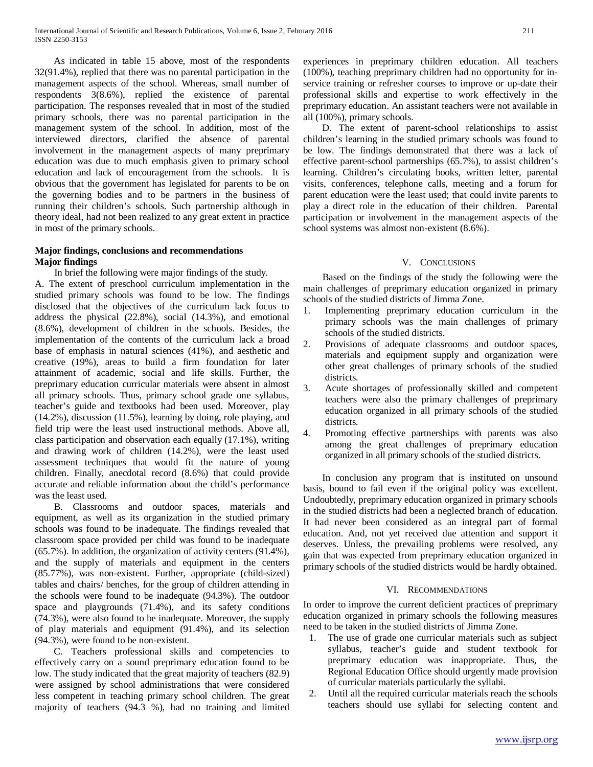As indicated in table 15 above, most of the respondents 32(91.4%), replied that there was no parental participation in the management aspects of the school. Whereas, small number of respondents 3(8.6%), replied the existence of parental participation. The responses revealed that in most of the studied primary schools, there was no parental participation in the management system of the school. In addition, most of the interviewed directors, clarified the absence of parental involvement in the management aspects of many preprimary education was due to much emphasis given to primary school education and lack of encouragement from the schools. It is obvious that the government has legislated for parents to be on the governing bodies and to be partners in the business of running their children's schools. Such partnership although in theory ideal, had not been realized to any great extent in practice in most of the primary schools.

## **Major findings, conclusions and recommendations Major findings**

In brief the following were major findings of the study.

A. The extent of preschool curriculum implementation in the studied primary schools was found to be low. The findings disclosed that the objectives of the curriculum lack focus to address the physical (22.8%), social (14.3%), and emotional (8.6%), development of children in the schools. Besides, the implementation of the contents of the curriculum lack a broad base of emphasis in natural sciences (41%), and aesthetic and creative (19%), areas to build a firm foundation for later attainment of academic, social and life skills. Further, the preprimary education curricular materials were absent in almost all primary schools. Thus, primary school grade one syllabus, teacher's guide and textbooks had been used. Moreover, play (14.2%), discussion (11.5%), learning by doing, role playing, and field trip were the least used instructional methods. Above all, class participation and observation each equally (17.1%), writing and drawing work of children (14.2%), were the least used assessment techniques that would fit the nature of young children. Finally, anecdotal record (8.6%) that could provide accurate and reliable information about the child's performance was the least used.

 B. Classrooms and outdoor spaces, materials and equipment, as well as its organization in the studied primary schools was found to be inadequate. The findings revealed that classroom space provided per child was found to be inadequate (65.7%). In addition, the organization of activity centers (91.4%), and the supply of materials and equipment in the centers (85.77%), was non-existent. Further, appropriate (child-sized) tables and chairs/ benches, for the group of children attending in the schools were found to be inadequate (94.3%). The outdoor space and playgrounds (71.4%), and its safety conditions (74.3%), were also found to be inadequate. Moreover, the supply of play materials and equipment (91.4%), and its selection (94.3%), were found to be non-existent.

 C. Teachers professional skills and competencies to effectively carry on a sound preprimary education found to be low. The study indicated that the great majority of teachers (82.9) were assigned by school administrations that were considered less competent in teaching primary school children. The great majority of teachers (94.3 %), had no training and limited experiences in preprimary children education. All teachers (100%), teaching preprimary children had no opportunity for inservice training or refresher courses to improve or up-date their professional skills and expertise to work effectively in the preprimary education. An assistant teachers were not available in all (100%), primary schools.

 D. The extent of parent-school relationships to assist children's learning in the studied primary schools was found to be low. The findings demonstrated that there was a lack of effective parent-school partnerships (65.7%), to assist children's learning. Children's circulating books, written letter, parental visits, conferences, telephone calls, meeting and a forum for parent education were the least used; that could invite parents to play a direct role in the education of their children. Parental participation or involvement in the management aspects of the school systems was almost non-existent (8.6%).

# V. CONCLUSIONS

 Based on the findings of the study the following were the main challenges of preprimary education organized in primary schools of the studied districts of Jimma Zone.

- 1. Implementing preprimary education curriculum in the primary schools was the main challenges of primary schools of the studied districts.
- 2. Provisions of adequate classrooms and outdoor spaces, materials and equipment supply and organization were other great challenges of primary schools of the studied districts.
- 3. Acute shortages of professionally skilled and competent teachers were also the primary challenges of preprimary education organized in all primary schools of the studied districts.
- 4. Promoting effective partnerships with parents was also among the great challenges of preprimary education organized in all primary schools of the studied districts.

 In conclusion any program that is instituted on unsound basis, bound to fail even if the original policy was excellent. Undoubtedly, preprimary education organized in primary schools in the studied districts had been a neglected branch of education. It had never been considered as an integral part of formal education. And, not yet received due attention and support it deserves. Unless, the prevailing problems were resolved, any gain that was expected from preprimary education organized in primary schools of the studied districts would be hardly obtained.

## VI. RECOMMENDATIONS

In order to improve the current deficient practices of preprimary education organized in primary schools the following measures need to be taken in the studied districts of Jimma Zone.

- 1. The use of grade one curricular materials such as subject syllabus, teacher's guide and student textbook for preprimary education was inappropriate. Thus, the Regional Education Office should urgently made provision of curricular materials particularly the syllabi.
- 2. Until all the required curricular materials reach the schools teachers should use syllabi for selecting content and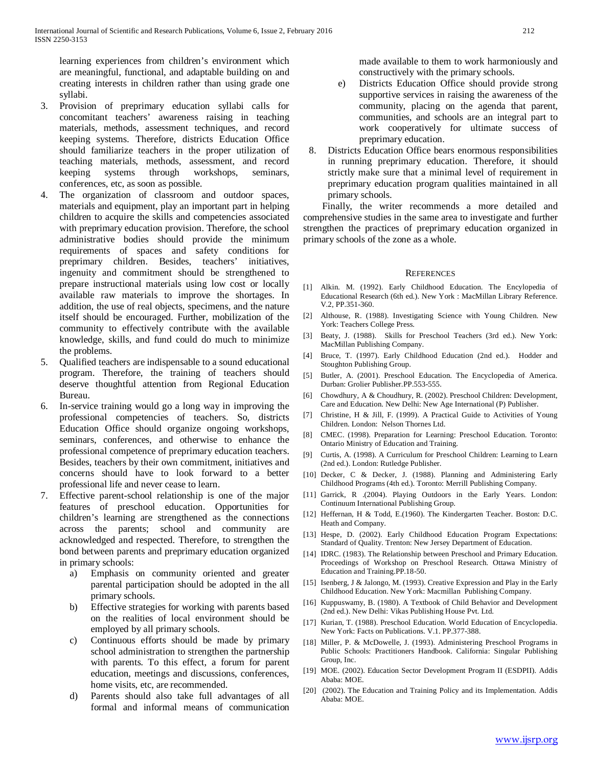learning experiences from children's environment which are meaningful, functional, and adaptable building on and creating interests in children rather than using grade one syllabi.

- 3. Provision of preprimary education syllabi calls for concomitant teachers' awareness raising in teaching materials, methods, assessment techniques, and record keeping systems. Therefore, districts Education Office should familiarize teachers in the proper utilization of teaching materials, methods, assessment, and record keeping systems through workshops, seminars, conferences, etc, as soon as possible.
- 4. The organization of classroom and outdoor spaces, materials and equipment, play an important part in helping children to acquire the skills and competencies associated with preprimary education provision. Therefore, the school administrative bodies should provide the minimum requirements of spaces and safety conditions for preprimary children. Besides, teachers' initiatives, ingenuity and commitment should be strengthened to prepare instructional materials using low cost or locally available raw materials to improve the shortages. In addition, the use of real objects, specimens, and the nature itself should be encouraged. Further, mobilization of the community to effectively contribute with the available knowledge, skills, and fund could do much to minimize the problems.
- 5. Qualified teachers are indispensable to a sound educational program. Therefore, the training of teachers should deserve thoughtful attention from Regional Education Bureau.
- 6. In-service training would go a long way in improving the professional competencies of teachers. So, districts Education Office should organize ongoing workshops, seminars, conferences, and otherwise to enhance the professional competence of preprimary education teachers. Besides, teachers by their own commitment, initiatives and concerns should have to look forward to a better professional life and never cease to learn.
- 7. Effective parent-school relationship is one of the major features of preschool education. Opportunities for children's learning are strengthened as the connections across the parents; school and community are acknowledged and respected. Therefore, to strengthen the bond between parents and preprimary education organized in primary schools:
	- a) Emphasis on community oriented and greater parental participation should be adopted in the all primary schools.
	- b) Effective strategies for working with parents based on the realities of local environment should be employed by all primary schools.
	- c) Continuous efforts should be made by primary school administration to strengthen the partnership with parents. To this effect, a forum for parent education, meetings and discussions, conferences, home visits, etc, are recommended.
	- d) Parents should also take full advantages of all formal and informal means of communication

made available to them to work harmoniously and constructively with the primary schools.

- e) Districts Education Office should provide strong supportive services in raising the awareness of the community, placing on the agenda that parent, communities, and schools are an integral part to work cooperatively for ultimate success of preprimary education.
- 8. Districts Education Office bears enormous responsibilities in running preprimary education. Therefore, it should strictly make sure that a minimal level of requirement in preprimary education program qualities maintained in all primary schools.

 Finally, the writer recommends a more detailed and comprehensive studies in the same area to investigate and further strengthen the practices of preprimary education organized in primary schools of the zone as a whole.

#### **REFERENCES**

- [1] Alkin. M. (1992). Early Childhood Education. The Encylopedia of Educational Research (6th ed.). New York : MacMillan Library Reference. V.2, PP.351-360.
- [2] Althouse, R. (1988). Investigating Science with Young Children. New York: Teachers College Press.
- [3] Beaty, J. (1988). Skills for Preschool Teachers (3rd ed.). New York: MacMillan Publishing Company.
- [4] Bruce, T. (1997). Early Childhood Education (2nd ed.). Hodder and Stoughton Publishing Group.
- [5] Butler, A. (2001). Preschool Education. The Encyclopedia of America. Durban: Grolier Publisher.PP.553-555.
- [6] Chowdhury, A & Choudhury, R. (2002). Preschool Children: Development, Care and Education. New Delhi: New Age International (P) Publisher.
- [7] Christine, H & Jill, F. (1999). A Practical Guide to Activities of Young Children. London: Nelson Thornes Ltd.
- [8] CMEC. (1998). Preparation for Learning: Preschool Education. Toronto: Ontario Ministry of Education and Training.
- [9] Curtis, A. (1998). A Curriculum for Preschool Children: Learning to Learn (2nd ed.). London: Rutledge Publisher.
- [10] Decker, C & Decker, J. (1988). Planning and Administering Early Childhood Programs (4th ed.). Toronto: Merrill Publishing Company.
- [11] Garrick, R .(2004). Playing Outdoors in the Early Years. London: Continuum International Publishing Group.
- [12] Heffernan, H & Todd, E.(1960). The Kindergarten Teacher. Boston: D.C. Heath and Company.
- [13] Hespe, D. (2002). Early Childhood Education Program Expectations: Standard of Quality. Trenton: New Jersey Department of Education.
- [14] IDRC. (1983). The Relationship between Preschool and Primary Education. Proceedings of Workshop on Preschool Research. Ottawa Ministry of Education and Training.PP.18-50.
- [15] Isenberg, J & Jalongo, M. (1993). Creative Expression and Play in the Early Childhood Education. New York: Macmillan Publishing Company.
- [16] Kuppuswamy, B. (1980). A Textbook of Child Behavior and Development (2nd ed.). New Delhi: Vikas Publishing House Pvt. Ltd.
- [17] Kurian, T. (1988). Preschool Education. World Education of Encyclopedia. New York: Facts on Publications. V.1. PP.377-388.
- [18] Miller, P. & McDowelle, J. (1993). Administering Preschool Programs in Public Schools: Practitioners Handbook. California: Singular Publishing Group, Inc.
- [19] MOE. (2002). Education Sector Development Program II (ESDPII). Addis Ababa: MOE.
- [20] (2002). The Education and Training Policy and its Implementation. Addis Ababa: MOE.